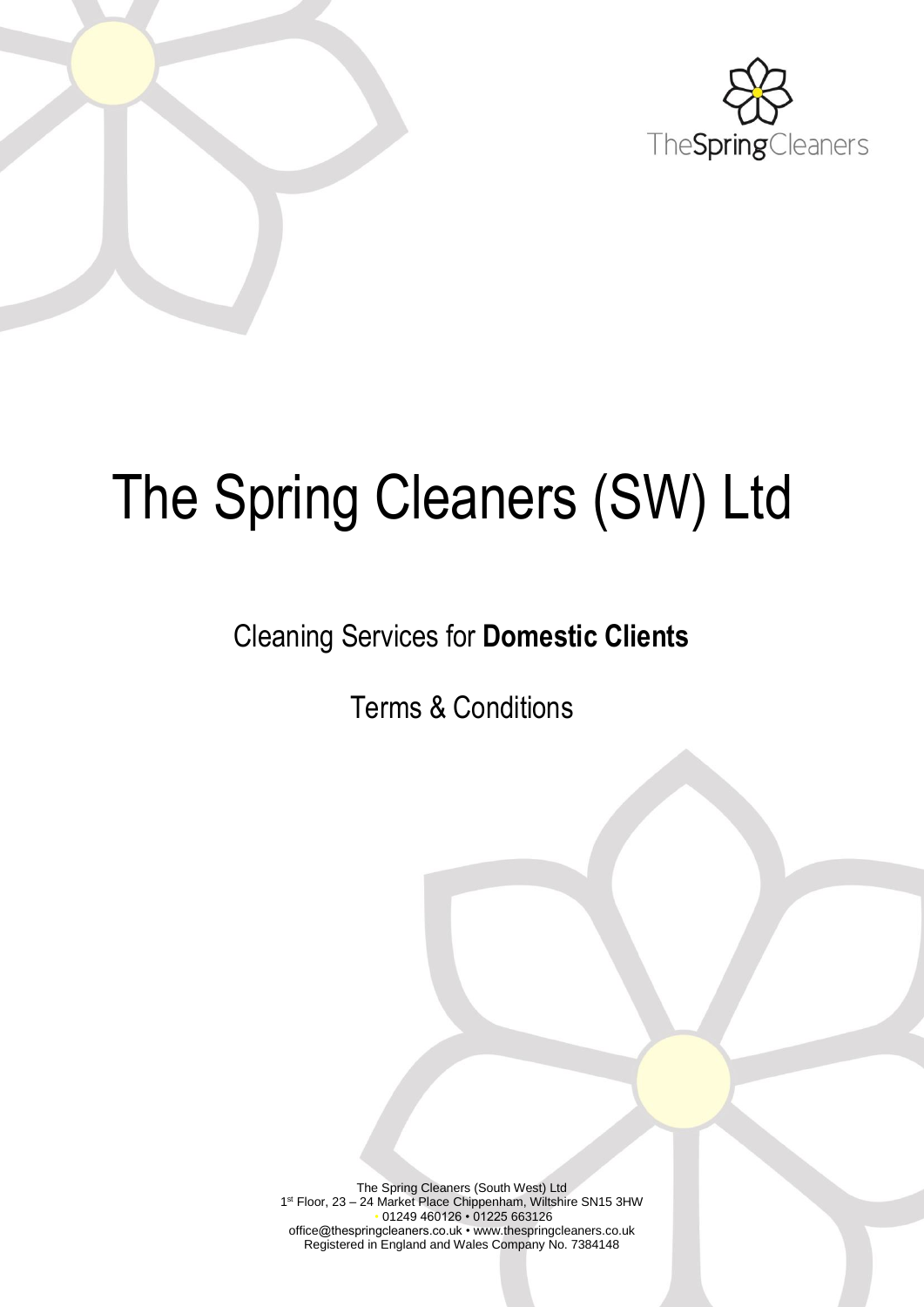

# The Spring Cleaners (SW) Ltd

# Cleaning Services for **Domestic Clients**

Terms & Conditions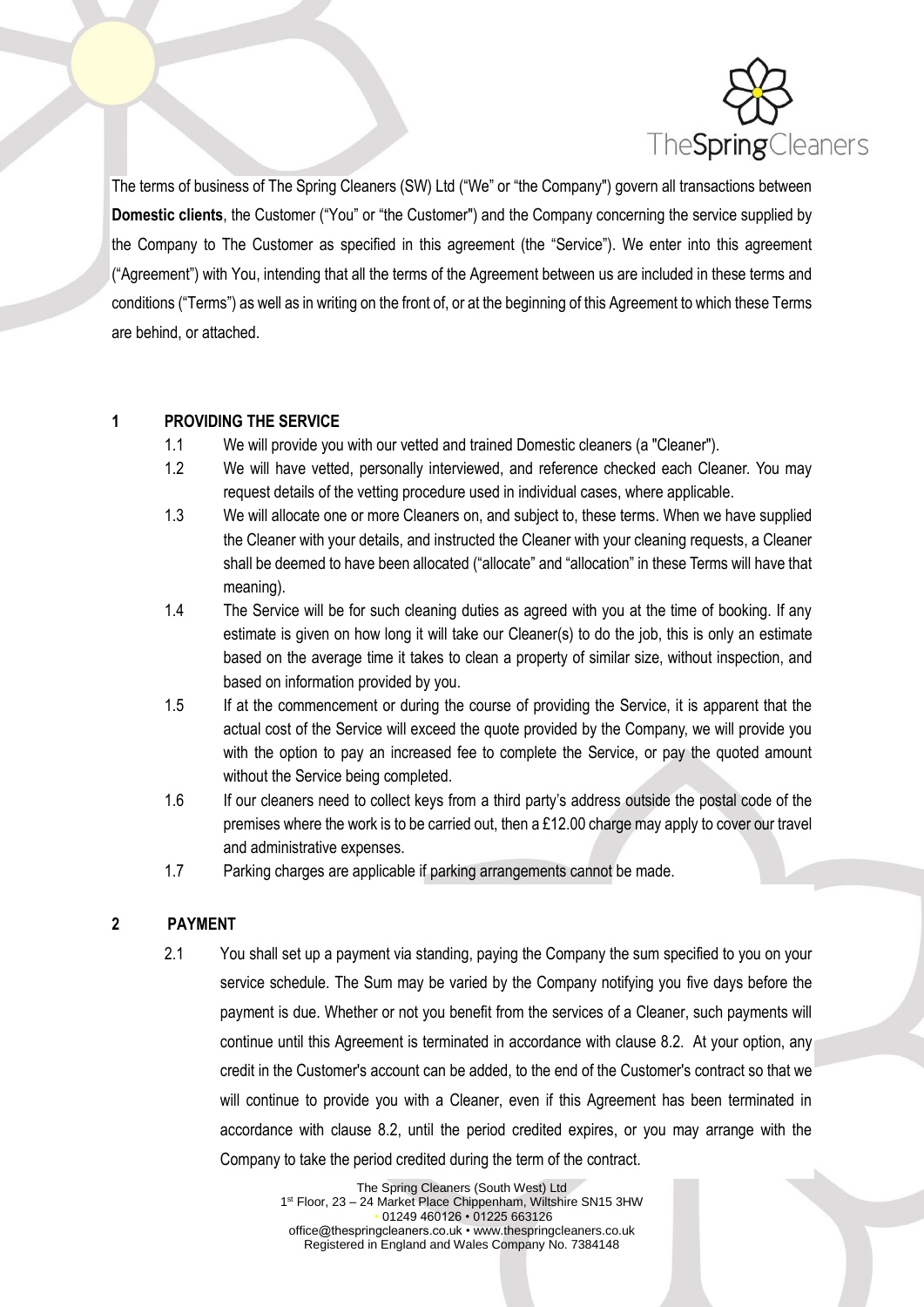

The terms of business of The Spring Cleaners (SW) Ltd ("We" or "the Company") govern all transactions between **Domestic clients**, the Customer ("You" or "the Customer") and the Company concerning the service supplied by the Company to The Customer as specified in this agreement (the "Service"). We enter into this agreement ("Agreement") with You, intending that all the terms of the Agreement between us are included in these terms and conditions ("Terms") as well as in writing on the front of, or at the beginning of this Agreement to which these Terms are behind, or attached.

# **1 PROVIDING THE SERVICE**

- 1.1 We will provide you with our vetted and trained Domestic cleaners (a "Cleaner").
- 1.2 We will have vetted, personally interviewed, and reference checked each Cleaner. You may request details of the vetting procedure used in individual cases, where applicable.
- 1.3 We will allocate one or more Cleaners on, and subject to, these terms. When we have supplied the Cleaner with your details, and instructed the Cleaner with your cleaning requests, a Cleaner shall be deemed to have been allocated ("allocate" and "allocation" in these Terms will have that meaning).
- 1.4 The Service will be for such cleaning duties as agreed with you at the time of booking. If any estimate is given on how long it will take our Cleaner(s) to do the job, this is only an estimate based on the average time it takes to clean a property of similar size, without inspection, and based on information provided by you.
- 1.5 If at the commencement or during the course of providing the Service, it is apparent that the actual cost of the Service will exceed the quote provided by the Company, we will provide you with the option to pay an increased fee to complete the Service, or pay the quoted amount without the Service being completed.
- 1.6 If our cleaners need to collect keys from a third party's address outside the postal code of the premises where the work is to be carried out, then a £12.00 charge may apply to cover our travel and administrative expenses.
- 1.7 Parking charges are applicable if parking arrangements cannot be made.

# **2 PAYMENT**

2.1 You shall set up a payment via standing, paying the Company the sum specified to you on your service schedule. The Sum may be varied by the Company notifying you five days before the payment is due. Whether or not you benefit from the services of a Cleaner, such payments will continue until this Agreement is terminated in accordance with clause 8.2. At your option, any credit in the Customer's account can be added, to the end of the Customer's contract so that we will continue to provide you with a Cleaner, even if this Agreement has been terminated in accordance with clause 8.2, until the period credited expires, or you may arrange with the Company to take the period credited during the term of the contract.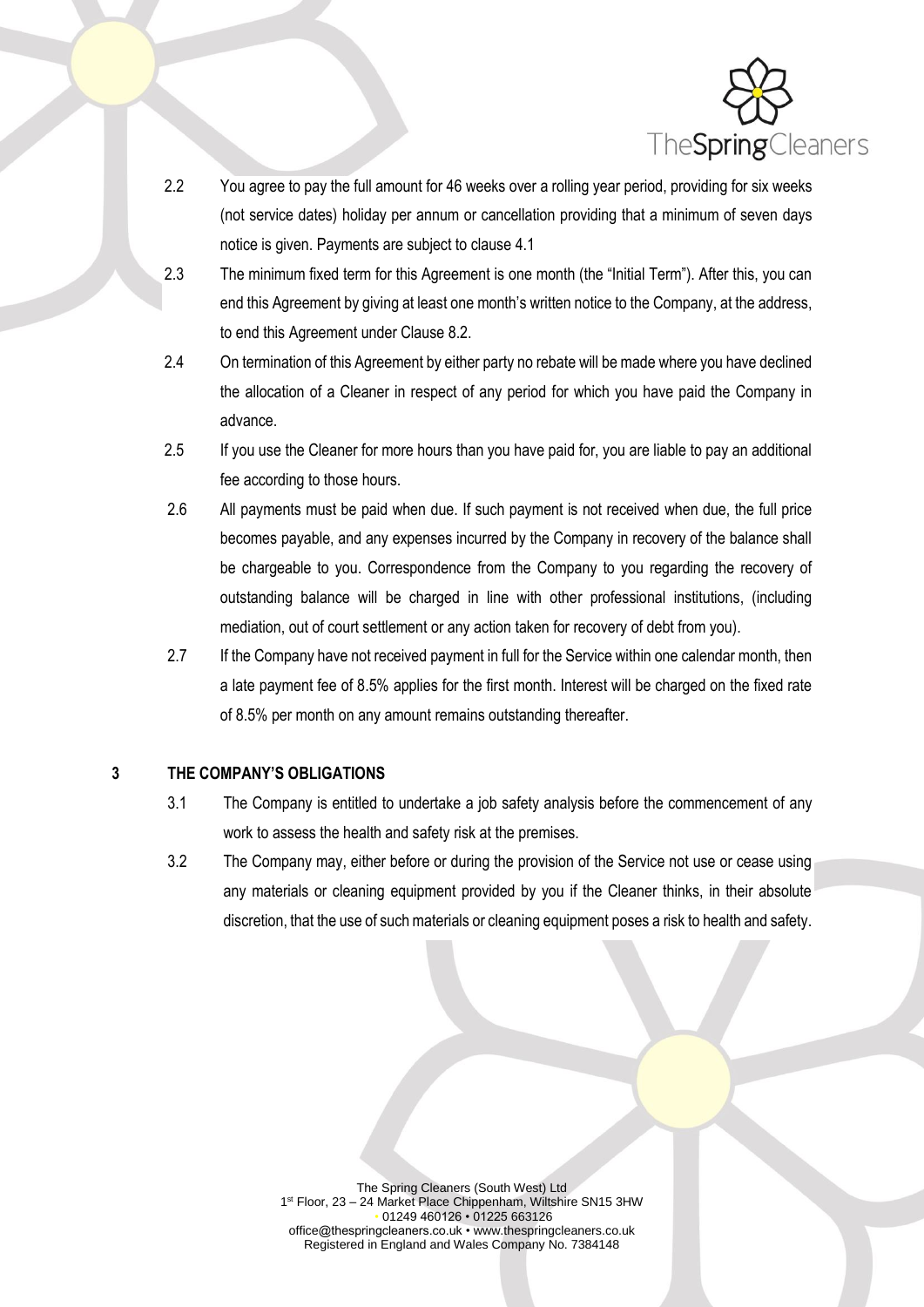

- 2.2 You agree to pay the full amount for 46 weeks over a rolling year period, providing for six weeks (not service dates) holiday per annum or cancellation providing that a minimum of seven days notice is given. Payments are subject to clause 4.1
- 2.3 The minimum fixed term for this Agreement is one month (the "Initial Term"). After this, you can end this Agreement by giving at least one month's written notice to the Company, at the address, to end this Agreement under Clause 8.2.
- 2.4 On termination of this Agreement by either party no rebate will be made where you have declined the allocation of a Cleaner in respect of any period for which you have paid the Company in advance.
- 2.5 If you use the Cleaner for more hours than you have paid for, you are liable to pay an additional fee according to those hours.
- 2.6 All payments must be paid when due. If such payment is not received when due, the full price becomes payable, and any expenses incurred by the Company in recovery of the balance shall be chargeable to you. Correspondence from the Company to you regarding the recovery of outstanding balance will be charged in line with other professional institutions, (including mediation, out of court settlement or any action taken for recovery of debt from you).
- 2.7 If the Company have not received payment in full for the Service within one calendar month, then a late payment fee of 8.5% applies for the first month. Interest will be charged on the fixed rate of 8.5% per month on any amount remains outstanding thereafter.

#### **3 THE COMPANY'S OBLIGATIONS**

- 3.1 The Company is entitled to undertake a job safety analysis before the commencement of any work to assess the health and safety risk at the premises.
- 3.2 The Company may, either before or during the provision of the Service not use or cease using any materials or cleaning equipment provided by you if the Cleaner thinks, in their absolute discretion, that the use of such materials or cleaning equipment poses a risk to health and safety.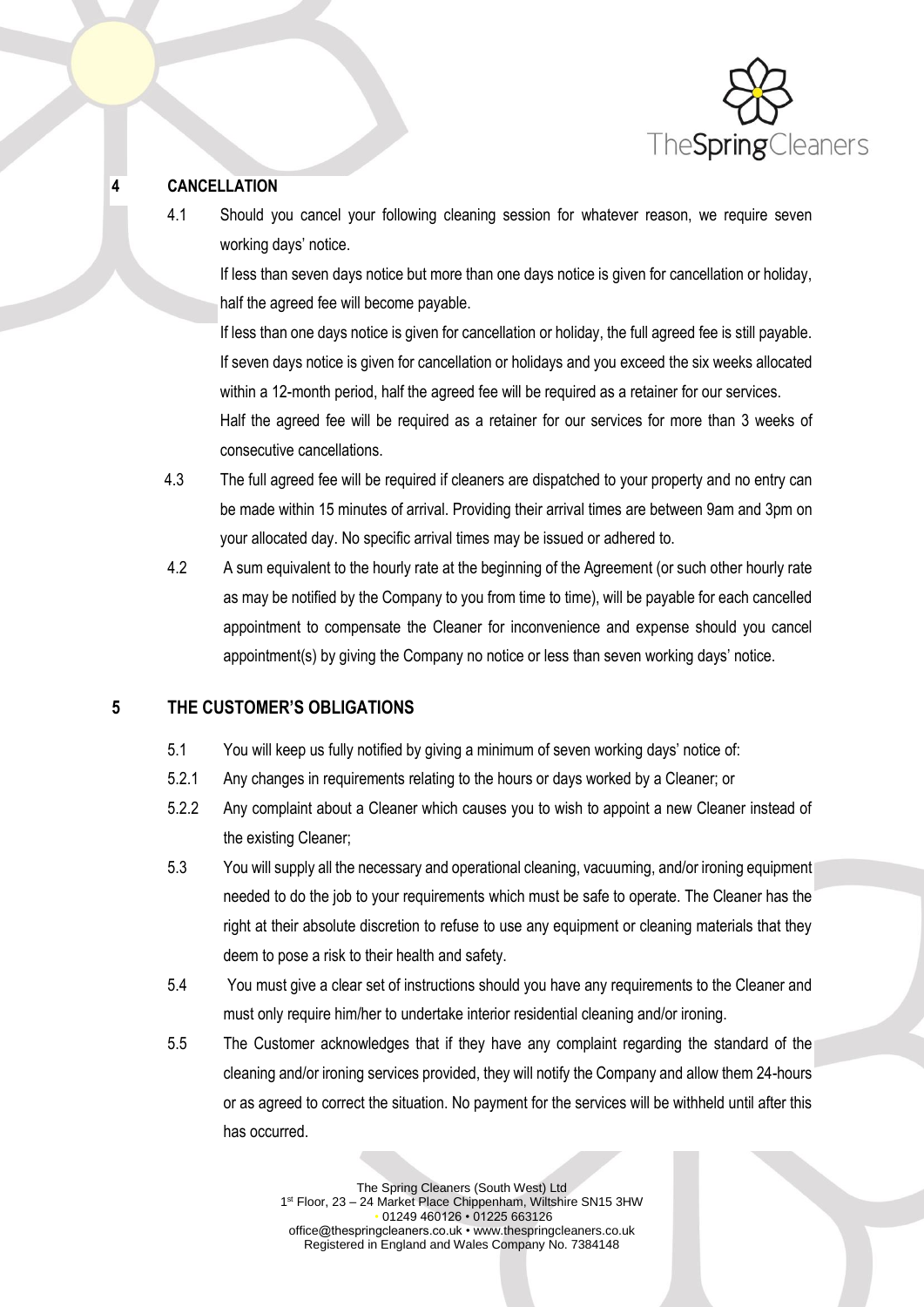

# **4 CANCELLATION**

4.1 Should you cancel your following cleaning session for whatever reason, we require seven working days' notice.

If less than seven days notice but more than one days notice is given for cancellation or holiday, half the agreed fee will become payable.

If less than one days notice is given for cancellation or holiday, the full agreed fee is still payable. If seven days notice is given for cancellation or holidays and you exceed the six weeks allocated within a 12-month period, half the agreed fee will be required as a retainer for our services. Half the agreed fee will be required as a retainer for our services for more than 3 weeks of consecutive cancellations.

- 4.3 The full agreed fee will be required if cleaners are dispatched to your property and no entry can be made within 15 minutes of arrival. Providing their arrival times are between 9am and 3pm on your allocated day. No specific arrival times may be issued or adhered to.
- 4.2 A sum equivalent to the hourly rate at the beginning of the Agreement (or such other hourly rate as may be notified by the Company to you from time to time), will be payable for each cancelled appointment to compensate the Cleaner for inconvenience and expense should you cancel appointment(s) by giving the Company no notice or less than seven working days' notice.

# **5 THE CUSTOMER'S OBLIGATIONS**

- 5.1 You will keep us fully notified by giving a minimum of seven working days' notice of:
- 5.2.1 Any changes in requirements relating to the hours or days worked by a Cleaner; or
- 5.2.2 Any complaint about a Cleaner which causes you to wish to appoint a new Cleaner instead of the existing Cleaner;
- 5.3 You will supply all the necessary and operational cleaning, vacuuming, and/or ironing equipment needed to do the job to your requirements which must be safe to operate. The Cleaner has the right at their absolute discretion to refuse to use any equipment or cleaning materials that they deem to pose a risk to their health and safety.
- 5.4 You must give a clear set of instructions should you have any requirements to the Cleaner and must only require him/her to undertake interior residential cleaning and/or ironing.
- 5.5 The Customer acknowledges that if they have any complaint regarding the standard of the cleaning and/or ironing services provided, they will notify the Company and allow them 24-hours or as agreed to correct the situation. No payment for the services will be withheld until after this has occurred.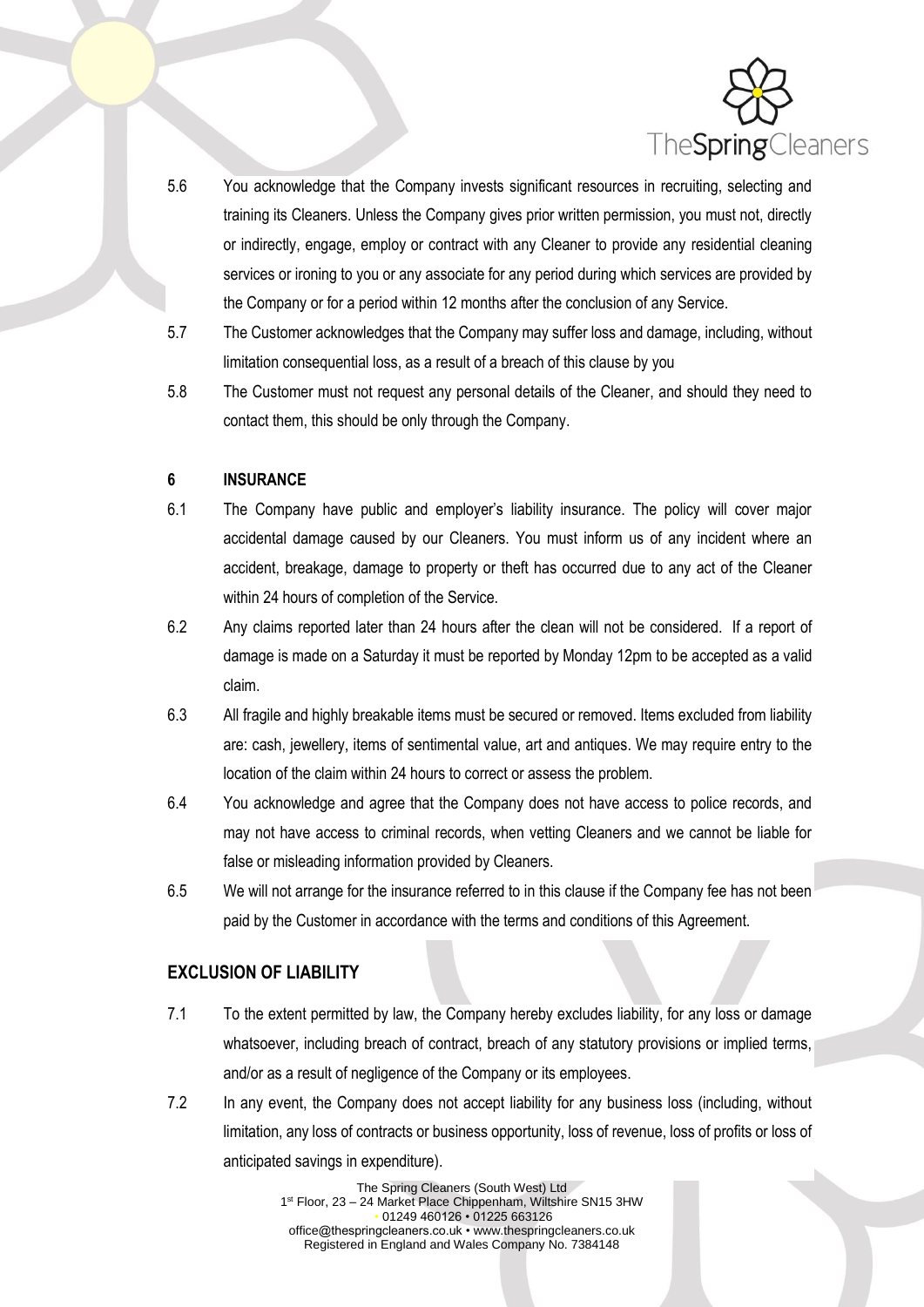

- 5.6 You acknowledge that the Company invests significant resources in recruiting, selecting and training its Cleaners. Unless the Company gives prior written permission, you must not, directly or indirectly, engage, employ or contract with any Cleaner to provide any residential cleaning services or ironing to you or any associate for any period during which services are provided by the Company or for a period within 12 months after the conclusion of any Service.
- 5.7 The Customer acknowledges that the Company may suffer loss and damage, including, without limitation consequential loss, as a result of a breach of this clause by you
- 5.8 The Customer must not request any personal details of the Cleaner, and should they need to contact them, this should be only through the Company.

#### **6 INSURANCE**

- 6.1 The Company have public and employer's liability insurance. The policy will cover major accidental damage caused by our Cleaners. You must inform us of any incident where an accident, breakage, damage to property or theft has occurred due to any act of the Cleaner within 24 hours of completion of the Service.
- 6.2 Any claims reported later than 24 hours after the clean will not be considered. If a report of damage is made on a Saturday it must be reported by Monday 12pm to be accepted as a valid claim.
- 6.3 All fragile and highly breakable items must be secured or removed. Items excluded from liability are: cash, jewellery, items of sentimental value, art and antiques. We may require entry to the location of the claim within 24 hours to correct or assess the problem.
- 6.4 You acknowledge and agree that the Company does not have access to police records, and may not have access to criminal records, when vetting Cleaners and we cannot be liable for false or misleading information provided by Cleaners.
- 6.5 We will not arrange for the insurance referred to in this clause if the Company fee has not been paid by the Customer in accordance with the terms and conditions of this Agreement.

# **EXCLUSION OF LIABILITY**

- 7.1 To the extent permitted by law, the Company hereby excludes liability, for any loss or damage whatsoever, including breach of contract, breach of any statutory provisions or implied terms, and/or as a result of negligence of the Company or its employees.
- 7.2 In any event, the Company does not accept liability for any business loss (including, without limitation, any loss of contracts or business opportunity, loss of revenue, loss of profits or loss of anticipated savings in expenditure).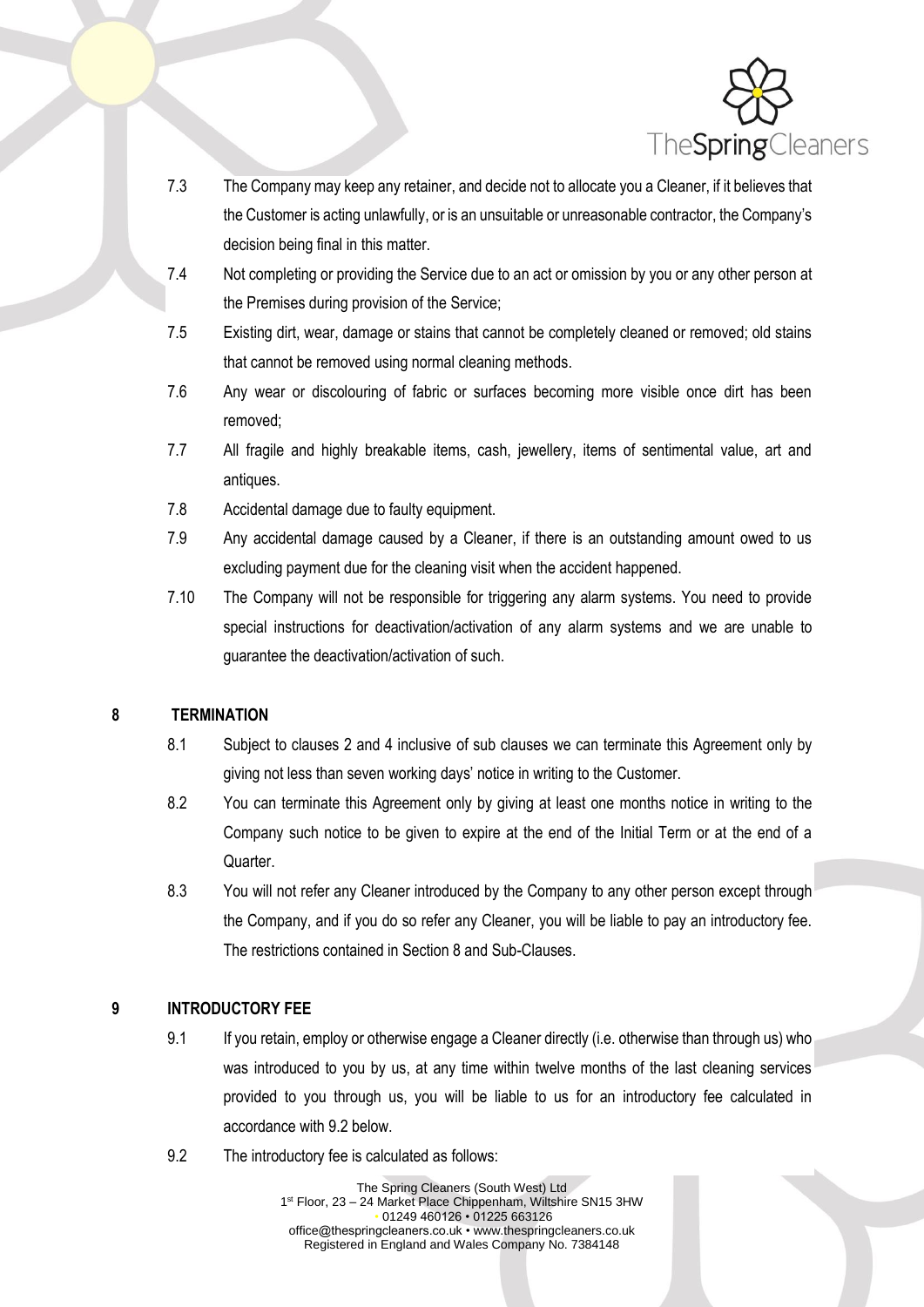

- 7.3 The Company may keep any retainer, and decide not to allocate you a Cleaner, if it believes that the Customer is acting unlawfully, or is an unsuitable or unreasonable contractor, the Company's decision being final in this matter.
- 7.4 Not completing or providing the Service due to an act or omission by you or any other person at the Premises during provision of the Service;
- 7.5 Existing dirt, wear, damage or stains that cannot be completely cleaned or removed; old stains that cannot be removed using normal cleaning methods.
- 7.6 Any wear or discolouring of fabric or surfaces becoming more visible once dirt has been removed;
- 7.7 All fragile and highly breakable items, cash, jewellery, items of sentimental value, art and antiques.
- 7.8 Accidental damage due to faulty equipment.
- 7.9 Any accidental damage caused by a Cleaner, if there is an outstanding amount owed to us excluding payment due for the cleaning visit when the accident happened.
- 7.10 The Company will not be responsible for triggering any alarm systems. You need to provide special instructions for deactivation/activation of any alarm systems and we are unable to guarantee the deactivation/activation of such.

#### **8 TERMINATION**

- 8.1 Subject to clauses 2 and 4 inclusive of sub clauses we can terminate this Agreement only by giving not less than seven working days' notice in writing to the Customer.
- 8.2 You can terminate this Agreement only by giving at least one months notice in writing to the Company such notice to be given to expire at the end of the Initial Term or at the end of a Quarter.
- 8.3 You will not refer any Cleaner introduced by the Company to any other person except through the Company, and if you do so refer any Cleaner, you will be liable to pay an introductory fee. The restrictions contained in Section 8 and Sub-Clauses.

# **9 INTRODUCTORY FEE**

- 9.1 If you retain, employ or otherwise engage a Cleaner directly (i.e. otherwise than through us) who was introduced to you by us, at any time within twelve months of the last cleaning services provided to you through us, you will be liable to us for an introductory fee calculated in accordance with 9.2 below.
- 9.2 The introductory fee is calculated as follows: